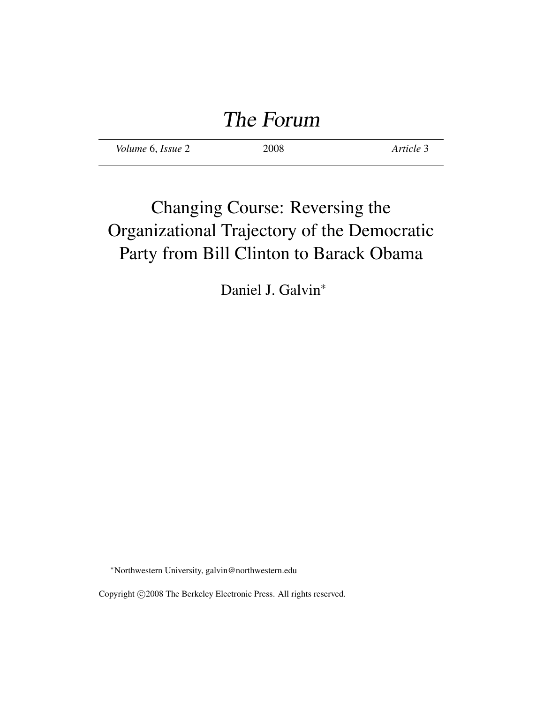# The Forum

*Volume* 6, *Issue* 2 2008 *Article* 3

## Changing Course: Reversing the Organizational Trajectory of the Democratic Party from Bill Clinton to Barack Obama

Daniel J. Galvin<sup>∗</sup>

<sup>∗</sup>Northwestern University, galvin@northwestern.edu

Copyright ©2008 The Berkeley Electronic Press. All rights reserved.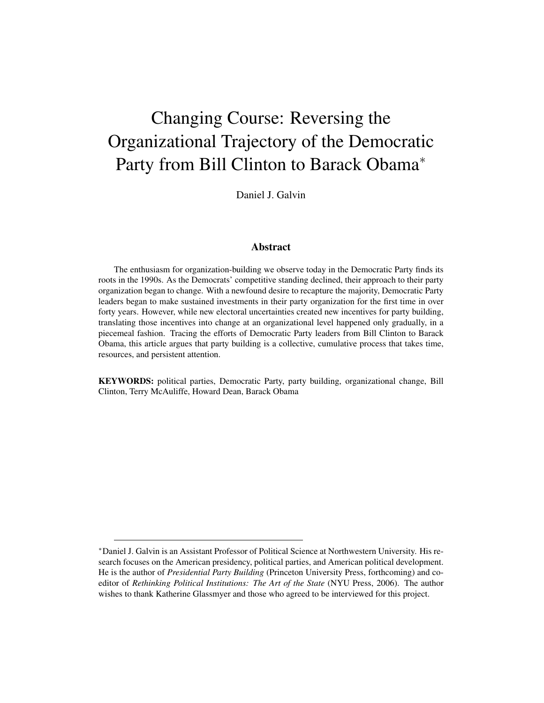## Changing Course: Reversing the Organizational Trajectory of the Democratic Party from Bill Clinton to Barack Obama<sup>∗</sup>

Daniel J. Galvin

#### Abstract

The enthusiasm for organization-building we observe today in the Democratic Party finds its roots in the 1990s. As the Democrats' competitive standing declined, their approach to their party organization began to change. With a newfound desire to recapture the majority, Democratic Party leaders began to make sustained investments in their party organization for the first time in over forty years. However, while new electoral uncertainties created new incentives for party building, translating those incentives into change at an organizational level happened only gradually, in a piecemeal fashion. Tracing the efforts of Democratic Party leaders from Bill Clinton to Barack Obama, this article argues that party building is a collective, cumulative process that takes time, resources, and persistent attention.

KEYWORDS: political parties, Democratic Party, party building, organizational change, Bill Clinton, Terry McAuliffe, Howard Dean, Barack Obama

<sup>∗</sup>Daniel J. Galvin is an Assistant Professor of Political Science at Northwestern University. His research focuses on the American presidency, political parties, and American political development. He is the author of *Presidential Party Building* (Princeton University Press, forthcoming) and coeditor of *Rethinking Political Institutions: The Art of the State* (NYU Press, 2006). The author wishes to thank Katherine Glassmyer and those who agreed to be interviewed for this project.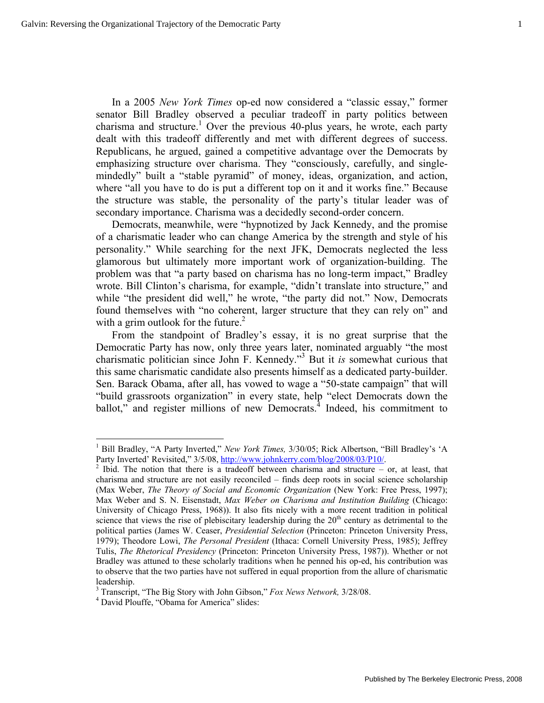In a 2005 *New York Times* op-ed now considered a "classic essay," former senator Bill Bradley observed a peculiar tradeoff in party politics between charisma and structure.<sup>1</sup> Over the previous 40-plus years, he wrote, each party dealt with this tradeoff differently and met with different degrees of success. Republicans, he argued, gained a competitive advantage over the Democrats by emphasizing structure over charisma. They "consciously, carefully, and singlemindedly" built a "stable pyramid" of money, ideas, organization, and action, where "all you have to do is put a different top on it and it works fine." Because the structure was stable, the personality of the party's titular leader was of secondary importance. Charisma was a decidedly second-order concern.

Democrats, meanwhile, were "hypnotized by Jack Kennedy, and the promise of a charismatic leader who can change America by the strength and style of his personality." While searching for the next JFK, Democrats neglected the less glamorous but ultimately more important work of organization-building. The problem was that "a party based on charisma has no long-term impact," Bradley wrote. Bill Clinton's charisma, for example, "didn't translate into structure," and while "the president did well," he wrote, "the party did not." Now, Democrats found themselves with "no coherent, larger structure that they can rely on" and with a grim outlook for the future. $^{2}$ 

From the standpoint of Bradley's essay, it is no great surprise that the Democratic Party has now, only three years later, nominated arguably "the most charismatic politician since John F. Kennedy."3 But it *is* somewhat curious that this same charismatic candidate also presents himself as a dedicated party-builder. Sen. Barack Obama, after all, has vowed to wage a "50-state campaign" that will "build grassroots organization" in every state, help "elect Democrats down the ballot," and register millions of new Democrats.<sup>4</sup> Indeed, his commitment to

<sup>&</sup>lt;sup>1</sup> Bill Bradley, "A Party Inverted," *New York Times, 3/30/05*; Rick Albertson, "Bill Bradley's 'A Party Inverted' Revisited," 3/5/08, http://www.johnkerry.com/blog/2008/03/P10/.

<sup>&</sup>lt;sup>2</sup> Ibid. The notion that there is a tradeoff between charisma and structure – or, at least, that charisma and structure are not easily reconciled – finds deep roots in social science scholarship (Max Weber, *The Theory of Social and Economic Organization* (New York: Free Press, 1997); Max Weber and S. N. Eisenstadt, *Max Weber on Charisma and Institution Building* (Chicago: University of Chicago Press, 1968)). It also fits nicely with a more recent tradition in political science that views the rise of plebiscitary leadership during the  $20<sup>th</sup>$  century as detrimental to the political parties (James W. Ceaser, *Presidential Selection* (Princeton: Princeton University Press, 1979); Theodore Lowi, *The Personal President* (Ithaca: Cornell University Press, 1985); Jeffrey Tulis, *The Rhetorical Presidency* (Princeton: Princeton University Press, 1987)). Whether or not Bradley was attuned to these scholarly traditions when he penned his op-ed, his contribution was to observe that the two parties have not suffered in equal proportion from the allure of charismatic leadership.

<sup>&</sup>lt;sup>3</sup> Transcript, "The Big Story with John Gibson," *Fox News Network*, 3/28/08.

<sup>&</sup>lt;sup>4</sup> David Plouffe, "Obama for America" slides: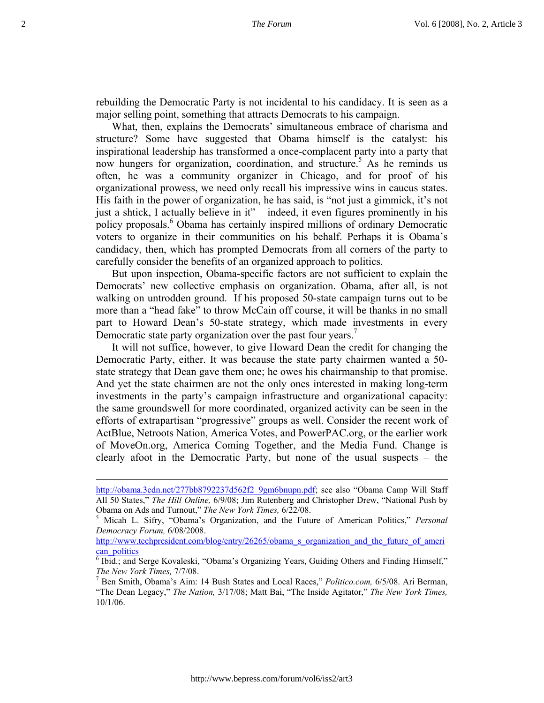rebuilding the Democratic Party is not incidental to his candidacy. It is seen as a major selling point, something that attracts Democrats to his campaign.

What, then, explains the Democrats' simultaneous embrace of charisma and structure? Some have suggested that Obama himself is the catalyst: his inspirational leadership has transformed a once-complacent party into a party that now hungers for organization, coordination, and structure.<sup>5</sup> As he reminds us often, he was a community organizer in Chicago, and for proof of his organizational prowess, we need only recall his impressive wins in caucus states. His faith in the power of organization, he has said, is "not just a gimmick, it's not just a shtick, I actually believe in it" – indeed, it even figures prominently in his policy proposals.<sup>6</sup> Obama has certainly inspired millions of ordinary Democratic voters to organize in their communities on his behalf. Perhaps it is Obama's candidacy, then, which has prompted Democrats from all corners of the party to carefully consider the benefits of an organized approach to politics.

But upon inspection, Obama-specific factors are not sufficient to explain the Democrats' new collective emphasis on organization. Obama, after all, is not walking on untrodden ground. If his proposed 50-state campaign turns out to be more than a "head fake" to throw McCain off course, it will be thanks in no small part to Howard Dean's 50-state strategy, which made investments in every Democratic state party organization over the past four years.<sup>7</sup>

It will not suffice, however, to give Howard Dean the credit for changing the Democratic Party, either. It was because the state party chairmen wanted a 50 state strategy that Dean gave them one; he owes his chairmanship to that promise. And yet the state chairmen are not the only ones interested in making long-term investments in the party's campaign infrastructure and organizational capacity: the same groundswell for more coordinated, organized activity can be seen in the efforts of extrapartisan "progressive" groups as well. Consider the recent work of ActBlue, Netroots Nation, America Votes, and PowerPAC.org, or the earlier work of MoveOn.org, America Coming Together, and the Media Fund. Change is clearly afoot in the Democratic Party, but none of the usual suspects – the

http://obama.3cdn.net/277bb8792237d562f2\_9gm6bnupn.pdf; see also "Obama Camp Will Staff All 50 States," *The Hill Online,* 6/9/08; Jim Rutenberg and Christopher Drew, "National Push by Obama on Ads and Turnout," *The New York Times,* 6/22/08. 5

Micah L. Sifry, "Obama's Organization, and the Future of American Politics," *Personal Democracy Forum,* 6/08/2008.

http://www.techpresident.com/blog/entry/26265/obama s\_organization\_and\_the\_future\_of\_ameri can politics

<sup>&</sup>lt;sup>6</sup> Ibid.; and Serge Kovaleski, "Obama's Organizing Years, Guiding Others and Finding Himself," *The New York Times, 7/7/08.* 

Ben Smith, Obama's Aim: 14 Bush States and Local Races," *Politico.com,* 6/5/08. Ari Berman, "The Dean Legacy," *The Nation,* 3/17/08; Matt Bai, "The Inside Agitator," *The New York Times,*  10/1/06.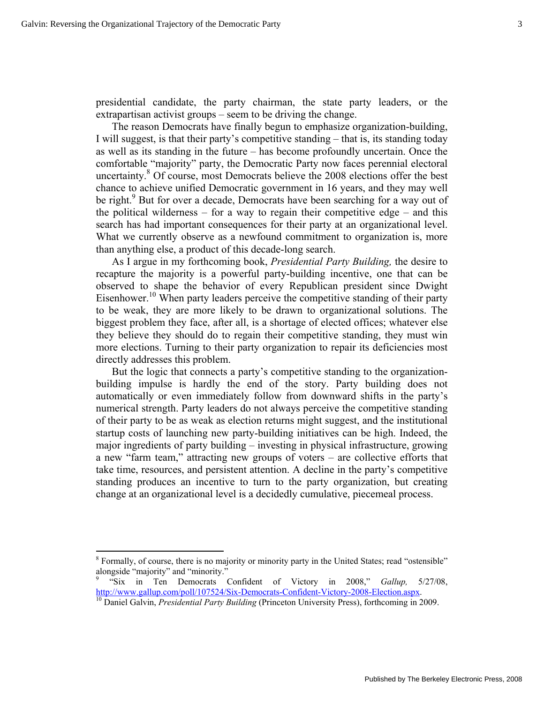$\overline{a}$ 

presidential candidate, the party chairman, the state party leaders, or the extrapartisan activist groups – seem to be driving the change.

The reason Democrats have finally begun to emphasize organization-building, I will suggest, is that their party's competitive standing – that is, its standing today as well as its standing in the future – has become profoundly uncertain. Once the comfortable "majority" party, the Democratic Party now faces perennial electoral uncertainty.<sup>8</sup> Of course, most Democrats believe the 2008 elections offer the best chance to achieve unified Democratic government in 16 years, and they may well be right.<sup>9</sup> But for over a decade, Democrats have been searching for a way out of the political wilderness – for a way to regain their competitive edge – and this search has had important consequences for their party at an organizational level. What we currently observe as a newfound commitment to organization is, more than anything else, a product of this decade-long search.

As I argue in my forthcoming book, *Presidential Party Building,* the desire to recapture the majority is a powerful party-building incentive, one that can be observed to shape the behavior of every Republican president since Dwight Eisenhower.<sup>10</sup> When party leaders perceive the competitive standing of their party to be weak, they are more likely to be drawn to organizational solutions. The biggest problem they face, after all, is a shortage of elected offices; whatever else they believe they should do to regain their competitive standing, they must win more elections. Turning to their party organization to repair its deficiencies most directly addresses this problem.

But the logic that connects a party's competitive standing to the organizationbuilding impulse is hardly the end of the story. Party building does not automatically or even immediately follow from downward shifts in the party's numerical strength. Party leaders do not always perceive the competitive standing of their party to be as weak as election returns might suggest, and the institutional startup costs of launching new party-building initiatives can be high. Indeed, the major ingredients of party building – investing in physical infrastructure, growing a new "farm team," attracting new groups of voters – are collective efforts that take time, resources, and persistent attention. A decline in the party's competitive standing produces an incentive to turn to the party organization, but creating change at an organizational level is a decidedly cumulative, piecemeal process.

<sup>&</sup>lt;sup>8</sup> Formally, of course, there is no majority or minority party in the United States; read "ostensible" alongside "majority" and "minority."

<sup>9</sup> "Six in Ten Democrats Confident of Victory in 2008," *Gallup,* 5/27/08, http://www.gallup.com/poll/107524/Six-Democrats-Confident-Victory-2008-Election.aspx. 10 Daniel Galvin, *Presidential Party Building* (Princeton University Press), forthcoming in 2009.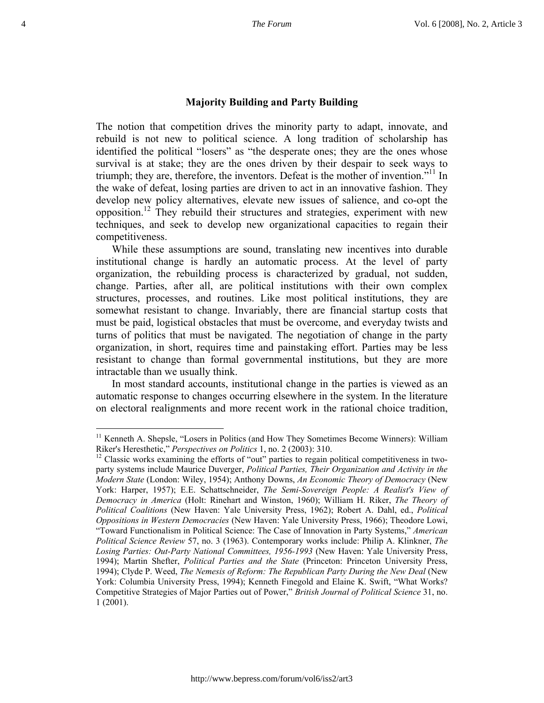#### **Majority Building and Party Building**

The notion that competition drives the minority party to adapt, innovate, and rebuild is not new to political science. A long tradition of scholarship has identified the political "losers" as "the desperate ones; they are the ones whose survival is at stake; they are the ones driven by their despair to seek ways to triumph; they are, therefore, the inventors. Defeat is the mother of invention.<sup>511</sup> In the wake of defeat, losing parties are driven to act in an innovative fashion. They develop new policy alternatives, elevate new issues of salience, and co-opt the opposition.12 They rebuild their structures and strategies, experiment with new techniques, and seek to develop new organizational capacities to regain their competitiveness.

While these assumptions are sound, translating new incentives into durable institutional change is hardly an automatic process. At the level of party organization, the rebuilding process is characterized by gradual, not sudden, change. Parties, after all, are political institutions with their own complex structures, processes, and routines. Like most political institutions, they are somewhat resistant to change. Invariably, there are financial startup costs that must be paid, logistical obstacles that must be overcome, and everyday twists and turns of politics that must be navigated. The negotiation of change in the party organization, in short, requires time and painstaking effort. Parties may be less resistant to change than formal governmental institutions, but they are more intractable than we usually think.

In most standard accounts, institutional change in the parties is viewed as an automatic response to changes occurring elsewhere in the system. In the literature on electoral realignments and more recent work in the rational choice tradition,

<sup>&</sup>lt;sup>11</sup> Kenneth A. Shepsle, "Losers in Politics (and How They Sometimes Become Winners): William Riker's Heresthetic," *Perspectives on Politics* 1, no. 2 (2003): 310.

<sup>&</sup>lt;sup>12</sup> Classic works examining the efforts of "out" parties to regain political competitiveness in twoparty systems include Maurice Duverger, *Political Parties, Their Organization and Activity in the Modern State* (London: Wiley, 1954); Anthony Downs, *An Economic Theory of Democracy* (New York: Harper, 1957); E.E. Schattschneider, *The Semi-Sovereign People: A Realist's View of Democracy in America* (Holt: Rinehart and Winston, 1960); William H. Riker, *The Theory of Political Coalitions* (New Haven: Yale University Press, 1962); Robert A. Dahl, ed., *Political Oppositions in Western Democracies* (New Haven: Yale University Press, 1966); Theodore Lowi, "Toward Functionalism in Political Science: The Case of Innovation in Party Systems," *American Political Science Review* 57, no. 3 (1963). Contemporary works include: Philip A. Klinkner, *The Losing Parties: Out-Party National Committees, 1956-1993* (New Haven: Yale University Press, 1994); Martin Shefter, *Political Parties and the State* (Princeton: Princeton University Press, 1994); Clyde P. Weed, *The Nemesis of Reform: The Republican Party During the New Deal* (New York: Columbia University Press, 1994); Kenneth Finegold and Elaine K. Swift, "What Works? Competitive Strategies of Major Parties out of Power," *British Journal of Political Science* 31, no. 1 (2001).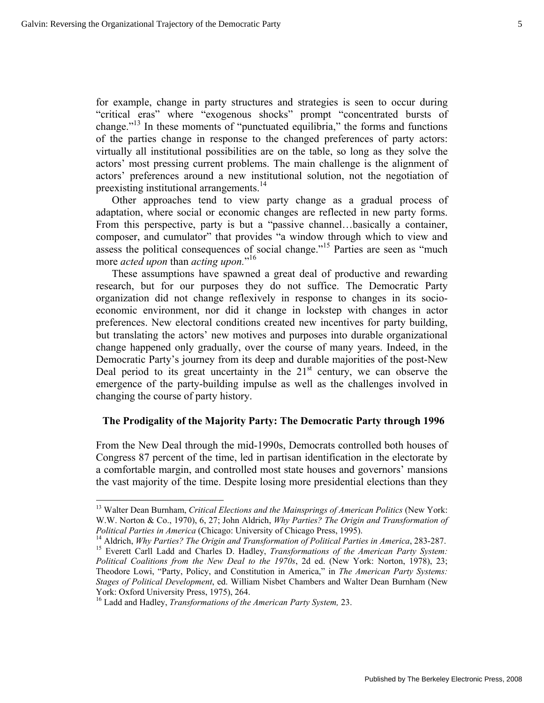for example, change in party structures and strategies is seen to occur during "critical eras" where "exogenous shocks" prompt "concentrated bursts of change."13 In these moments of "punctuated equilibria," the forms and functions of the parties change in response to the changed preferences of party actors: virtually all institutional possibilities are on the table, so long as they solve the actors' most pressing current problems. The main challenge is the alignment of actors' preferences around a new institutional solution, not the negotiation of preexisting institutional arrangements.<sup>14</sup>

Other approaches tend to view party change as a gradual process of adaptation, where social or economic changes are reflected in new party forms. From this perspective, party is but a "passive channel…basically a container, composer, and cumulator" that provides "a window through which to view and assess the political consequences of social change."<sup>15</sup> Parties are seen as "much more *acted upon* than *acting upon.*" 16

These assumptions have spawned a great deal of productive and rewarding research, but for our purposes they do not suffice. The Democratic Party organization did not change reflexively in response to changes in its socioeconomic environment, nor did it change in lockstep with changes in actor preferences. New electoral conditions created new incentives for party building, but translating the actors' new motives and purposes into durable organizational change happened only gradually, over the course of many years. Indeed, in the Democratic Party's journey from its deep and durable majorities of the post-New Deal period to its great uncertainty in the  $21<sup>st</sup>$  century, we can observe the emergence of the party-building impulse as well as the challenges involved in changing the course of party history.

## **The Prodigality of the Majority Party: The Democratic Party through 1996**

From the New Deal through the mid-1990s, Democrats controlled both houses of Congress 87 percent of the time, led in partisan identification in the electorate by a comfortable margin, and controlled most state houses and governors' mansions the vast majority of the time. Despite losing more presidential elections than they

<sup>13</sup> Walter Dean Burnham, *Critical Elections and the Mainsprings of American Politics* (New York: W.W. Norton & Co., 1970), 6, 27; John Aldrich, *Why Parties? The Origin and Transformation of* 

Political Parties in America (Chicago: University of Chicago Press, 1995).<br><sup>14</sup> Aldrich, *Why Parties? The Origin and Transformation of Political Parties in America*, 283-287.<br><sup>15</sup> Everett Carll Ladd and Charles D. Hadley, *Political Coalitions from the New Deal to the 1970s*, 2d ed. (New York: Norton, 1978), 23; Theodore Lowi, "Party, Policy, and Constitution in America," in *The American Party Systems: Stages of Political Development*, ed. William Nisbet Chambers and Walter Dean Burnham (New York: Oxford University Press, 1975), 264.

<sup>16</sup> Ladd and Hadley, *Transformations of the American Party System,* 23.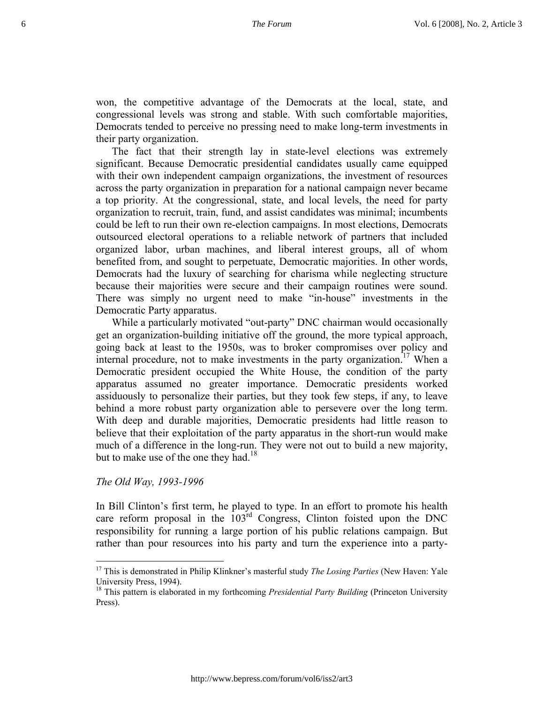won, the competitive advantage of the Democrats at the local, state, and congressional levels was strong and stable. With such comfortable majorities, Democrats tended to perceive no pressing need to make long-term investments in their party organization.

The fact that their strength lay in state-level elections was extremely significant. Because Democratic presidential candidates usually came equipped with their own independent campaign organizations, the investment of resources across the party organization in preparation for a national campaign never became a top priority. At the congressional, state, and local levels, the need for party organization to recruit, train, fund, and assist candidates was minimal; incumbents could be left to run their own re-election campaigns. In most elections, Democrats outsourced electoral operations to a reliable network of partners that included organized labor, urban machines, and liberal interest groups, all of whom benefited from, and sought to perpetuate, Democratic majorities. In other words, Democrats had the luxury of searching for charisma while neglecting structure because their majorities were secure and their campaign routines were sound. There was simply no urgent need to make "in-house" investments in the Democratic Party apparatus.

While a particularly motivated "out-party" DNC chairman would occasionally get an organization-building initiative off the ground, the more typical approach, going back at least to the 1950s, was to broker compromises over policy and internal procedure, not to make investments in the party organization.<sup>17</sup> When a Democratic president occupied the White House, the condition of the party apparatus assumed no greater importance. Democratic presidents worked assiduously to personalize their parties, but they took few steps, if any, to leave behind a more robust party organization able to persevere over the long term. With deep and durable majorities, Democratic presidents had little reason to believe that their exploitation of the party apparatus in the short-run would make much of a difference in the long-run. They were not out to build a new majority, but to make use of the one they had.<sup>18</sup>

### *The Old Way, 1993-1996*

<u>.</u>

In Bill Clinton's first term, he played to type. In an effort to promote his health care reform proposal in the 103rd Congress, Clinton foisted upon the DNC responsibility for running a large portion of his public relations campaign. But rather than pour resources into his party and turn the experience into a party-

<sup>17</sup> This is demonstrated in Philip Klinkner's masterful study *The Losing Parties* (New Haven: Yale University Press, 1994).

<sup>&</sup>lt;sup>18</sup> This pattern is elaborated in my forthcoming *Presidential Party Building* (Princeton University Press).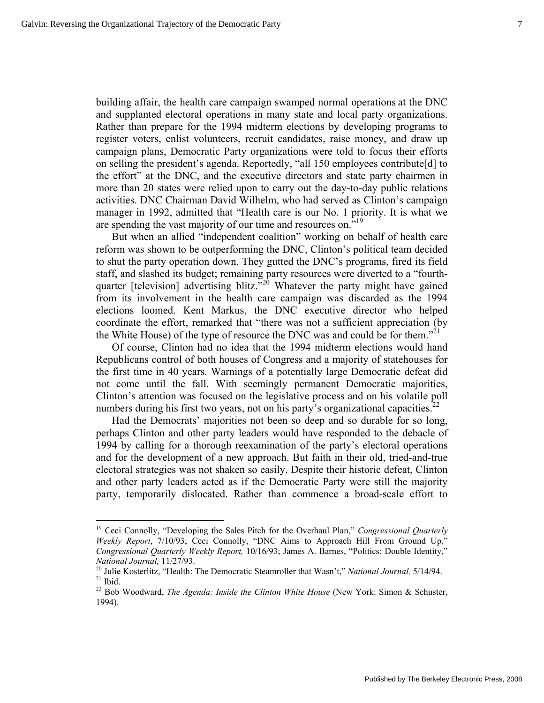1

building affair, the health care campaign swamped normal operations at the DNC and supplanted electoral operations in many state and local party organizations. Rather than prepare for the 1994 midterm elections by developing programs to register voters, enlist volunteers, recruit candidates, raise money, and draw up campaign plans, Democratic Party organizations were told to focus their efforts on selling the president's agenda. Reportedly, "all 150 employees contribute[d] to the effort" at the DNC, and the executive directors and state party chairmen in more than 20 states were relied upon to carry out the day-to-day public relations activities. DNC Chairman David Wilhelm, who had served as Clinton's campaign manager in 1992, admitted that "Health care is our No. 1 priority. It is what we are spending the vast majority of our time and resources on."<sup>19</sup>

But when an allied "independent coalition" working on behalf of health care reform was shown to be outperforming the DNC, Clinton's political team decided to shut the party operation down. They gutted the DNC's programs, fired its field staff, and slashed its budget; remaining party resources were diverted to a "fourthquarter [television] advertising blitz."<sup>20</sup> Whatever the party might have gained from its involvement in the health care campaign was discarded as the 1994 elections loomed. Kent Markus, the DNC executive director who helped coordinate the effort, remarked that "there was not a sufficient appreciation (by the White House) of the type of resource the DNC was and could be for them.<sup> $21$ </sup>

Of course, Clinton had no idea that the 1994 midterm elections would hand Republicans control of both houses of Congress and a majority of statehouses for the first time in 40 years. Warnings of a potentially large Democratic defeat did not come until the fall. With seemingly permanent Democratic majorities, Clinton's attention was focused on the legislative process and on his volatile poll numbers during his first two years, not on his party's organizational capacities.<sup>22</sup>

Had the Democrats' majorities not been so deep and so durable for so long, perhaps Clinton and other party leaders would have responded to the debacle of 1994 by calling for a thorough reexamination of the party's electoral operations and for the development of a new approach. But faith in their old, tried-and-true electoral strategies was not shaken so easily. Despite their historic defeat, Clinton and other party leaders acted as if the Democratic Party were still the majority party, temporarily dislocated. Rather than commence a broad-scale effort to

<sup>&</sup>lt;sup>19</sup> Ceci Connolly, "Developing the Sales Pitch for the Overhaul Plan," *Congressional Quarterly Weekly Report*, 7/10/93; Ceci Connolly, "DNC Aims to Approach Hill From Ground Up," *Congressional Quarterly Weekly Report,* 10/16/93; James A. Barnes, "Politics: Double Identity,"

*National Journal, 11/27/93.*<br><sup>20</sup> Julie Kosterlitz, "Health: The Democratic Steamroller that Wasn't," *National Journal, 5/14/94.*<br><sup>21</sup> Ibid

<sup>&</sup>lt;sup>22</sup> Bob Woodward, *The Agenda: Inside the Clinton White House* (New York: Simon & Schuster, 1994).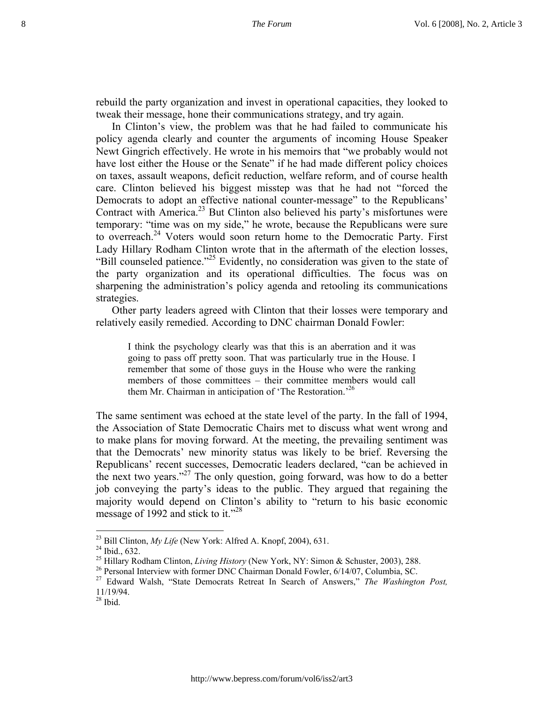rebuild the party organization and invest in operational capacities, they looked to tweak their message, hone their communications strategy, and try again.

In Clinton's view, the problem was that he had failed to communicate his policy agenda clearly and counter the arguments of incoming House Speaker Newt Gingrich effectively. He wrote in his memoirs that "we probably would not have lost either the House or the Senate" if he had made different policy choices on taxes, assault weapons, deficit reduction, welfare reform, and of course health care. Clinton believed his biggest misstep was that he had not "forced the Democrats to adopt an effective national counter-message" to the Republicans' Contract with America.<sup>23</sup> But Clinton also believed his party's misfortunes were temporary: "time was on my side," he wrote, because the Republicans were sure to overreach.<sup>24</sup> Voters would soon return home to the Democratic Party. First Lady Hillary Rodham Clinton wrote that in the aftermath of the election losses, "Bill counseled patience."<sup>25</sup> Evidently, no consideration was given to the state of the party organization and its operational difficulties. The focus was on sharpening the administration's policy agenda and retooling its communications strategies.

Other party leaders agreed with Clinton that their losses were temporary and relatively easily remedied. According to DNC chairman Donald Fowler:

I think the psychology clearly was that this is an aberration and it was going to pass off pretty soon. That was particularly true in the House. I remember that some of those guys in the House who were the ranking members of those committees – their committee members would call them Mr. Chairman in anticipation of 'The Restoration.<sup>26</sup>

The same sentiment was echoed at the state level of the party. In the fall of 1994, the Association of State Democratic Chairs met to discuss what went wrong and to make plans for moving forward. At the meeting, the prevailing sentiment was that the Democrats' new minority status was likely to be brief. Reversing the Republicans' recent successes, Democratic leaders declared, "can be achieved in the next two years."<sup>27</sup> The only question, going forward, was how to do a better job conveying the party's ideas to the public. They argued that regaining the majority would depend on Clinton's ability to "return to his basic economic message of 1992 and stick to it."<sup>28</sup>

<sup>&</sup>lt;sup>23</sup> Bill Clinton, *My Life* (New York: Alfred A. Knopf, 2004), 631.<br><sup>24</sup> Ibid., 632.<br><sup>25</sup> Hillary Rodham Clinton, *Living History* (New York, NY: Simon & Schuster, 2003), 288.

<sup>&</sup>lt;sup>26</sup> Personal Interview with former DNC Chairman Donald Fowler, 6/14/07, Columbia, SC.

<sup>27</sup> Edward Walsh, "State Democrats Retreat In Search of Answers," *The Washington Post,*  11/19/94.

 $28$  Ibid.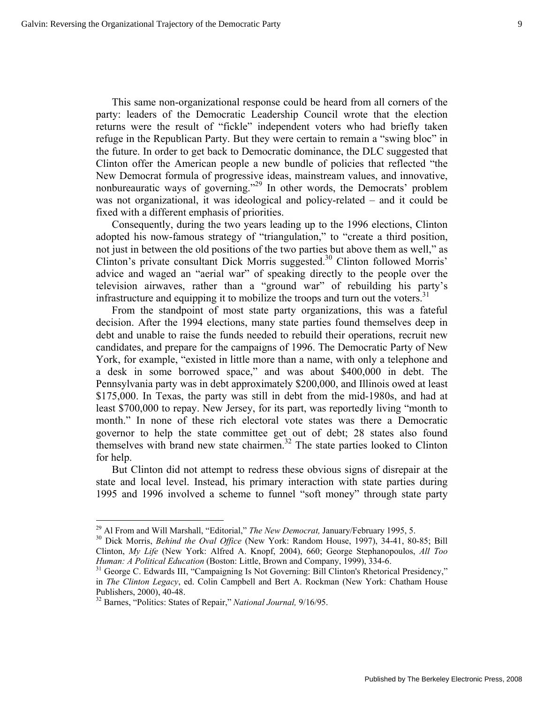This same non-organizational response could be heard from all corners of the party: leaders of the Democratic Leadership Council wrote that the election returns were the result of "fickle" independent voters who had briefly taken refuge in the Republican Party. But they were certain to remain a "swing bloc" in the future. In order to get back to Democratic dominance, the DLC suggested that Clinton offer the American people a new bundle of policies that reflected "the New Democrat formula of progressive ideas, mainstream values, and innovative, nonbureauratic ways of governing."<sup>29</sup> In other words, the Democrats' problem was not organizational, it was ideological and policy-related – and it could be fixed with a different emphasis of priorities.

Consequently, during the two years leading up to the 1996 elections, Clinton adopted his now-famous strategy of "triangulation," to "create a third position, not just in between the old positions of the two parties but above them as well," as Clinton's private consultant Dick Morris suggested.<sup>30</sup> Clinton followed Morris' advice and waged an "aerial war" of speaking directly to the people over the television airwaves, rather than a "ground war" of rebuilding his party's infrastructure and equipping it to mobilize the troops and turn out the voters.<sup>31</sup>

From the standpoint of most state party organizations, this was a fateful decision. After the 1994 elections, many state parties found themselves deep in debt and unable to raise the funds needed to rebuild their operations, recruit new candidates, and prepare for the campaigns of 1996. The Democratic Party of New York, for example, "existed in little more than a name, with only a telephone and a desk in some borrowed space," and was about \$400,000 in debt. The Pennsylvania party was in debt approximately \$200,000, and Illinois owed at least \$175,000. In Texas, the party was still in debt from the mid-1980s, and had at least \$700,000 to repay. New Jersey, for its part, was reportedly living "month to month." In none of these rich electoral vote states was there a Democratic governor to help the state committee get out of debt; 28 states also found themselves with brand new state chairmen.<sup>32</sup> The state parties looked to Clinton for help.

But Clinton did not attempt to redress these obvious signs of disrepair at the state and local level. Instead, his primary interaction with state parties during 1995 and 1996 involved a scheme to funnel "soft money" through state party

<sup>&</sup>lt;sup>29</sup> Al From and Will Marshall, "Editorial," *The New Democrat*, January/February 1995, 5.<br><sup>30</sup> Dick Morris, *Behind the Oval Office* (New York: Random House, 1997), 34-41, 80-85; Bill Clinton, *My Life* (New York: Alfred A. Knopf, 2004), 660; George Stephanopoulos, *All Too Human: A Political Education* (Boston: Little, Brown and Company, 1999), 334-6.<br><sup>31</sup> George C. Edwards III, "Campaigning Is Not Governing: Bill Clinton's Rhetorical Presidency,"

in *The Clinton Legacy*, ed. Colin Campbell and Bert A. Rockman (New York: Chatham House Publishers, 2000), 40-48.

<sup>32</sup> Barnes, "Politics: States of Repair," *National Journal,* 9/16/95.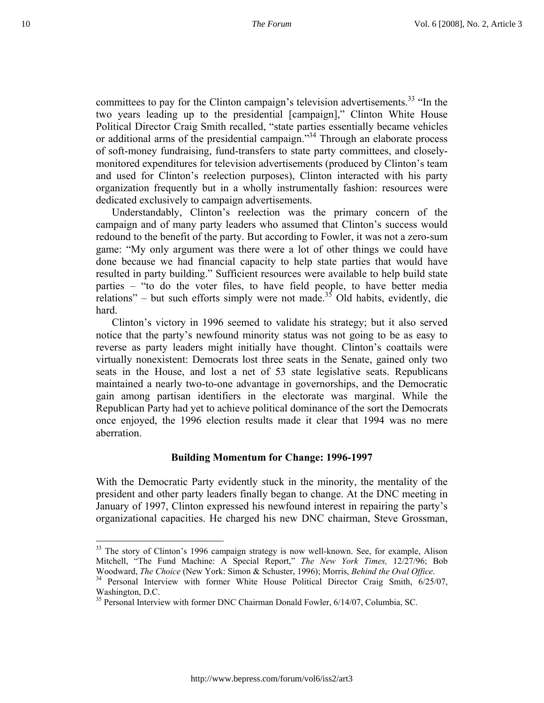committees to pay for the Clinton campaign's television advertisements.<sup>33</sup> "In the two years leading up to the presidential [campaign]," Clinton White House Political Director Craig Smith recalled, "state parties essentially became vehicles or additional arms of the presidential campaign."34 Through an elaborate process of soft-money fundraising, fund-transfers to state party committees, and closelymonitored expenditures for television advertisements (produced by Clinton's team and used for Clinton's reelection purposes), Clinton interacted with his party organization frequently but in a wholly instrumentally fashion: resources were dedicated exclusively to campaign advertisements.

Understandably, Clinton's reelection was the primary concern of the campaign and of many party leaders who assumed that Clinton's success would redound to the benefit of the party. But according to Fowler, it was not a zero-sum game: "My only argument was there were a lot of other things we could have done because we had financial capacity to help state parties that would have resulted in party building." Sufficient resources were available to help build state parties – "to do the voter files, to have field people, to have better media relations" – but such efforts simply were not made.<sup>35</sup> Old habits, evidently, die hard.

Clinton's victory in 1996 seemed to validate his strategy; but it also served notice that the party's newfound minority status was not going to be as easy to reverse as party leaders might initially have thought. Clinton's coattails were virtually nonexistent: Democrats lost three seats in the Senate, gained only two seats in the House, and lost a net of 53 state legislative seats. Republicans maintained a nearly two-to-one advantage in governorships, and the Democratic gain among partisan identifiers in the electorate was marginal. While the Republican Party had yet to achieve political dominance of the sort the Democrats once enjoyed, the 1996 election results made it clear that 1994 was no mere aberration.

## **Building Momentum for Change: 1996-1997**

With the Democratic Party evidently stuck in the minority, the mentality of the president and other party leaders finally began to change. At the DNC meeting in January of 1997, Clinton expressed his newfound interest in repairing the party's organizational capacities. He charged his new DNC chairman, Steve Grossman,

<sup>&</sup>lt;sup>33</sup> The story of Clinton's 1996 campaign strategy is now well-known. See, for example, Alison Mitchell, "The Fund Machine: A Special Report," *The New York Times,* 12/27/96; Bob

<sup>&</sup>lt;sup>34</sup> Personal Interview with former White House Political Director Craig Smith, 6/25/07, Washington, D.C.

<sup>&</sup>lt;sup>35</sup> Personal Interview with former DNC Chairman Donald Fowler, 6/14/07, Columbia, SC.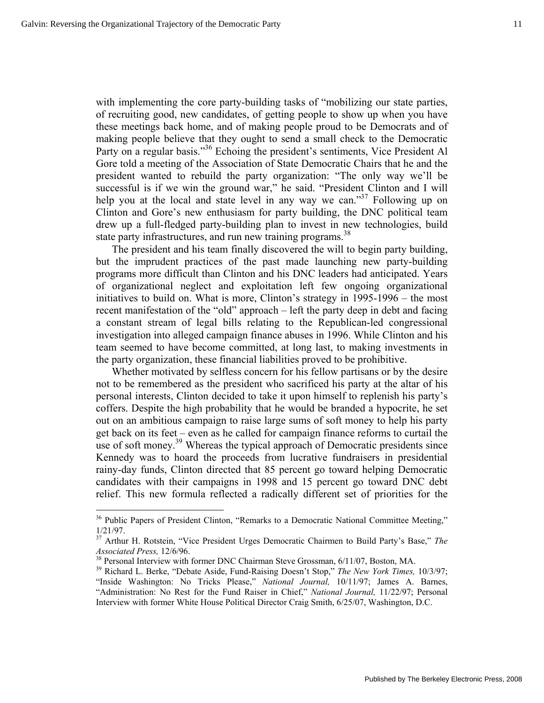$\overline{a}$ 

with implementing the core party-building tasks of "mobilizing our state parties, of recruiting good, new candidates, of getting people to show up when you have these meetings back home, and of making people proud to be Democrats and of making people believe that they ought to send a small check to the Democratic Party on a regular basis."<sup>36</sup> Echoing the president's sentiments, Vice President Al Gore told a meeting of the Association of State Democratic Chairs that he and the president wanted to rebuild the party organization: "The only way we'll be successful is if we win the ground war," he said. "President Clinton and I will help you at the local and state level in any way we can."<sup>37</sup> Following up on Clinton and Gore's new enthusiasm for party building, the DNC political team drew up a full-fledged party-building plan to invest in new technologies, build state party infrastructures, and run new training programs.<sup>38</sup>

The president and his team finally discovered the will to begin party building, but the imprudent practices of the past made launching new party-building programs more difficult than Clinton and his DNC leaders had anticipated. Years of organizational neglect and exploitation left few ongoing organizational initiatives to build on. What is more, Clinton's strategy in 1995-1996 – the most recent manifestation of the "old" approach – left the party deep in debt and facing a constant stream of legal bills relating to the Republican-led congressional investigation into alleged campaign finance abuses in 1996. While Clinton and his team seemed to have become committed, at long last, to making investments in the party organization, these financial liabilities proved to be prohibitive.

Whether motivated by selfless concern for his fellow partisans or by the desire not to be remembered as the president who sacrificed his party at the altar of his personal interests, Clinton decided to take it upon himself to replenish his party's coffers. Despite the high probability that he would be branded a hypocrite, he set out on an ambitious campaign to raise large sums of soft money to help his party get back on its feet – even as he called for campaign finance reforms to curtail the use of soft money.<sup>39</sup> Whereas the typical approach of Democratic presidents since Kennedy was to hoard the proceeds from lucrative fundraisers in presidential rainy-day funds, Clinton directed that 85 percent go toward helping Democratic candidates with their campaigns in 1998 and 15 percent go toward DNC debt relief. This new formula reflected a radically different set of priorities for the

<sup>&</sup>lt;sup>36</sup> Public Papers of President Clinton, "Remarks to a Democratic National Committee Meeting," 1/21/97.

<sup>37</sup> Arthur H. Rotstein, "Vice President Urges Democratic Chairmen to Build Party's Base," *The Associated Press,* 12/6/96. 38 Personal Interview with former DNC Chairman Steve Grossman, 6/11/07, Boston, MA. 39 Richard L. Berke, "Debate Aside, Fund-Raising Doesn't Stop," *The New York Times,* 10/3/97;

<sup>&</sup>quot;Inside Washington: No Tricks Please," *National Journal,* 10/11/97; James A. Barnes, "Administration: No Rest for the Fund Raiser in Chief," *National Journal,* 11/22/97; Personal Interview with former White House Political Director Craig Smith, 6/25/07, Washington, D.C.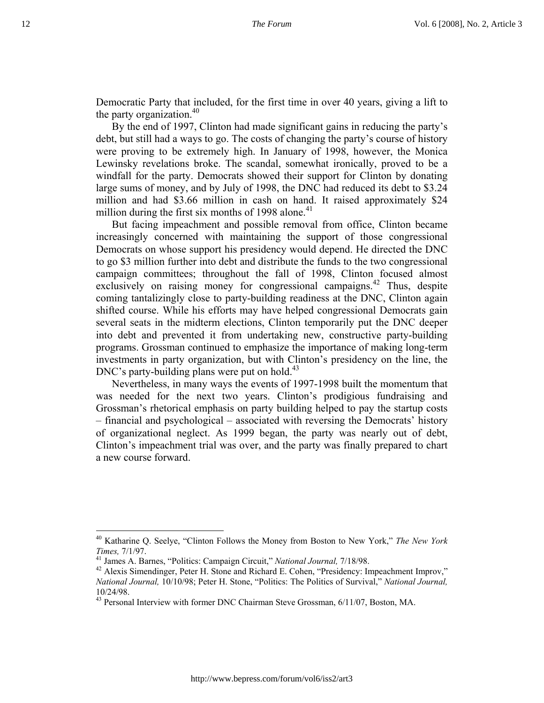Democratic Party that included, for the first time in over 40 years, giving a lift to the party organization.<sup>40</sup>

By the end of 1997, Clinton had made significant gains in reducing the party's debt, but still had a ways to go. The costs of changing the party's course of history were proving to be extremely high. In January of 1998, however, the Monica Lewinsky revelations broke. The scandal, somewhat ironically, proved to be a windfall for the party. Democrats showed their support for Clinton by donating large sums of money, and by July of 1998, the DNC had reduced its debt to \$3.24 million and had \$3.66 million in cash on hand. It raised approximately \$24 million during the first six months of 1998 alone.<sup>41</sup>

But facing impeachment and possible removal from office, Clinton became increasingly concerned with maintaining the support of those congressional Democrats on whose support his presidency would depend. He directed the DNC to go \$3 million further into debt and distribute the funds to the two congressional campaign committees; throughout the fall of 1998, Clinton focused almost exclusively on raising money for congressional campaigns.<sup>42</sup> Thus, despite coming tantalizingly close to party-building readiness at the DNC, Clinton again shifted course. While his efforts may have helped congressional Democrats gain several seats in the midterm elections, Clinton temporarily put the DNC deeper into debt and prevented it from undertaking new, constructive party-building programs. Grossman continued to emphasize the importance of making long-term investments in party organization, but with Clinton's presidency on the line, the  $DNC's$  party-building plans were put on hold.<sup>43</sup>

Nevertheless, in many ways the events of 1997-1998 built the momentum that was needed for the next two years. Clinton's prodigious fundraising and Grossman's rhetorical emphasis on party building helped to pay the startup costs – financial and psychological – associated with reversing the Democrats' history of organizational neglect. As 1999 began, the party was nearly out of debt, Clinton's impeachment trial was over, and the party was finally prepared to chart a new course forward.

<u>.</u>

<sup>&</sup>lt;sup>40</sup> Katharine Q. Seelye, "Clinton Follows the Money from Boston to New York," *The New York Times*, 7/1/97.

<sup>&</sup>lt;sup>41</sup> James A. Barnes, "Politics: Campaign Circuit," *National Journal*, 7/18/98.<br><sup>42</sup> Alexis Simendinger, Peter H. Stone and Richard E. Cohen, "Presidency: Impeachment Improv," *National Journal,* 10/10/98; Peter H. Stone, "Politics: The Politics of Survival," *National Journal,*  10/24/98.

<sup>&</sup>lt;sup>43</sup> Personal Interview with former DNC Chairman Steve Grossman, 6/11/07, Boston, MA.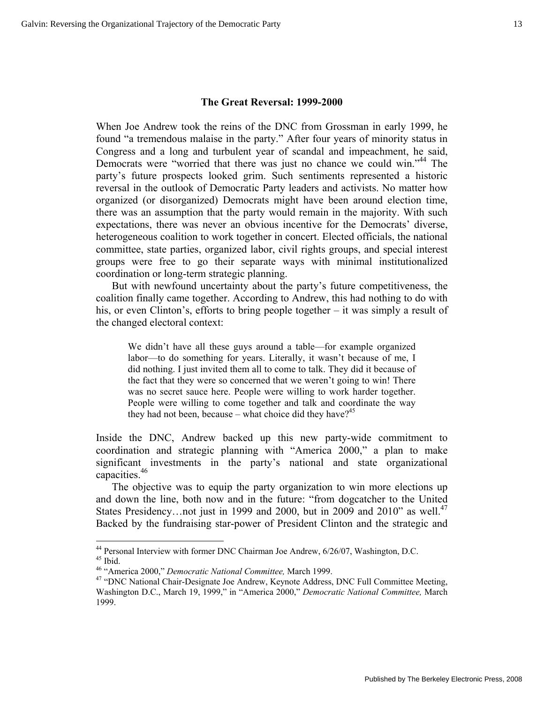#### **The Great Reversal: 1999-2000**

When Joe Andrew took the reins of the DNC from Grossman in early 1999, he found "a tremendous malaise in the party." After four years of minority status in Congress and a long and turbulent year of scandal and impeachment, he said, Democrats were "worried that there was just no chance we could win."<sup>44</sup> The party's future prospects looked grim. Such sentiments represented a historic reversal in the outlook of Democratic Party leaders and activists. No matter how organized (or disorganized) Democrats might have been around election time, there was an assumption that the party would remain in the majority. With such expectations, there was never an obvious incentive for the Democrats' diverse, heterogeneous coalition to work together in concert. Elected officials, the national committee, state parties, organized labor, civil rights groups, and special interest groups were free to go their separate ways with minimal institutionalized coordination or long-term strategic planning.

But with newfound uncertainty about the party's future competitiveness, the coalition finally came together. According to Andrew, this had nothing to do with his, or even Clinton's, efforts to bring people together – it was simply a result of the changed electoral context:

We didn't have all these guys around a table—for example organized labor—to do something for years. Literally, it wasn't because of me, I did nothing. I just invited them all to come to talk. They did it because of the fact that they were so concerned that we weren't going to win! There was no secret sauce here. People were willing to work harder together. People were willing to come together and talk and coordinate the way they had not been, because – what choice did they have?<sup>45</sup>

Inside the DNC, Andrew backed up this new party-wide commitment to coordination and strategic planning with "America 2000," a plan to make significant investments in the party's national and state organizational capacities.46

The objective was to equip the party organization to win more elections up and down the line, both now and in the future: "from dogcatcher to the United States Presidency... not just in 1999 and 2000, but in 2009 and 2010" as well.<sup>47</sup> Backed by the fundraising star-power of President Clinton and the strategic and

1

<sup>&</sup>lt;sup>44</sup> Personal Interview with former DNC Chairman Joe Andrew,  $6/26/07$ , Washington, D.C. <sup>45</sup> Ibid.<br><sup>45</sup> "America 2000," *Democratic National Committee*, March 1999.

<sup>&</sup>lt;sup>47</sup> "DNC National Chair-Designate Joe Andrew, Keynote Address, DNC Full Committee Meeting, Washington D.C., March 19, 1999," in "America 2000," *Democratic National Committee,* March 1999.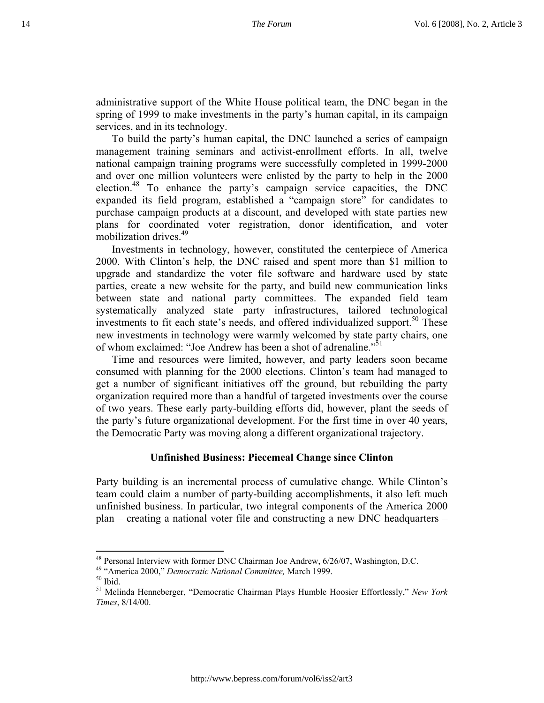administrative support of the White House political team, the DNC began in the spring of 1999 to make investments in the party's human capital, in its campaign services, and in its technology.

To build the party's human capital, the DNC launched a series of campaign management training seminars and activist-enrollment efforts. In all, twelve national campaign training programs were successfully completed in 1999-2000 and over one million volunteers were enlisted by the party to help in the 2000 election.48 To enhance the party's campaign service capacities, the DNC expanded its field program, established a "campaign store" for candidates to purchase campaign products at a discount, and developed with state parties new plans for coordinated voter registration, donor identification, and voter mobilization drives.<sup>49</sup>

Investments in technology, however, constituted the centerpiece of America 2000. With Clinton's help, the DNC raised and spent more than \$1 million to upgrade and standardize the voter file software and hardware used by state parties, create a new website for the party, and build new communication links between state and national party committees. The expanded field team systematically analyzed state party infrastructures, tailored technological investments to fit each state's needs, and offered individualized support.<sup>50</sup> These new investments in technology were warmly welcomed by state party chairs, one of whom exclaimed: "Joe Andrew has been a shot of adrenaline."<sup>51</sup>

Time and resources were limited, however, and party leaders soon became consumed with planning for the 2000 elections. Clinton's team had managed to get a number of significant initiatives off the ground, but rebuilding the party organization required more than a handful of targeted investments over the course of two years. These early party-building efforts did, however, plant the seeds of the party's future organizational development. For the first time in over 40 years, the Democratic Party was moving along a different organizational trajectory.

## **Unfinished Business: Piecemeal Change since Clinton**

Party building is an incremental process of cumulative change. While Clinton's team could claim a number of party-building accomplishments, it also left much unfinished business. In particular, two integral components of the America 2000 plan – creating a national voter file and constructing a new DNC headquarters –

<sup>&</sup>lt;sup>48</sup> Personal Interview with former DNC Chairman Joe Andrew, 6/26/07, Washington, D.C. <sup>49</sup> "America 2000," *Democratic National Committee*, March 1999. <sup>50</sup> Ibid.

<sup>51</sup> Melinda Henneberger, "Democratic Chairman Plays Humble Hoosier Effortlessly," *New York Times*, 8/14/00.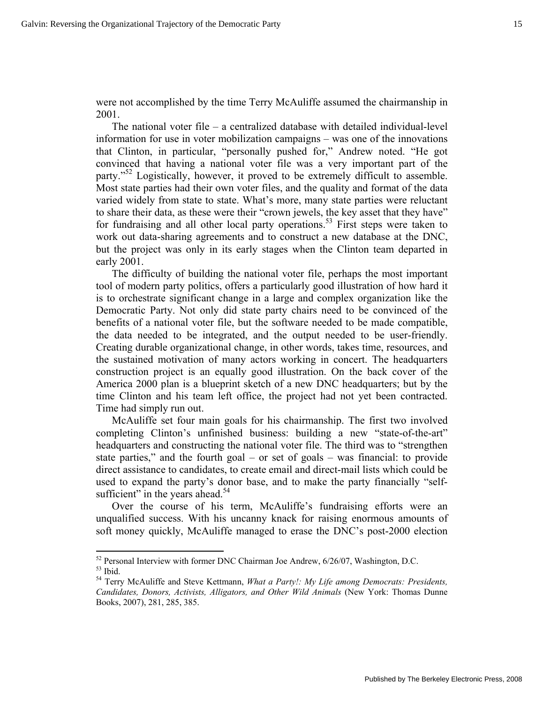1

were not accomplished by the time Terry McAuliffe assumed the chairmanship in 2001.

The national voter file – a centralized database with detailed individual-level information for use in voter mobilization campaigns – was one of the innovations that Clinton, in particular, "personally pushed for," Andrew noted. "He got convinced that having a national voter file was a very important part of the party."<sup>52</sup> Logistically, however, it proved to be extremely difficult to assemble. Most state parties had their own voter files, and the quality and format of the data varied widely from state to state. What's more, many state parties were reluctant to share their data, as these were their "crown jewels, the key asset that they have" for fundraising and all other local party operations.<sup>53</sup> First steps were taken to work out data-sharing agreements and to construct a new database at the DNC, but the project was only in its early stages when the Clinton team departed in early 2001.

The difficulty of building the national voter file, perhaps the most important tool of modern party politics, offers a particularly good illustration of how hard it is to orchestrate significant change in a large and complex organization like the Democratic Party. Not only did state party chairs need to be convinced of the benefits of a national voter file, but the software needed to be made compatible, the data needed to be integrated, and the output needed to be user-friendly. Creating durable organizational change, in other words, takes time, resources, and the sustained motivation of many actors working in concert. The headquarters construction project is an equally good illustration. On the back cover of the America 2000 plan is a blueprint sketch of a new DNC headquarters; but by the time Clinton and his team left office, the project had not yet been contracted. Time had simply run out.

McAuliffe set four main goals for his chairmanship. The first two involved completing Clinton's unfinished business: building a new "state-of-the-art" headquarters and constructing the national voter file. The third was to "strengthen state parties," and the fourth goal – or set of goals – was financial: to provide direct assistance to candidates, to create email and direct-mail lists which could be used to expand the party's donor base, and to make the party financially "selfsufficient" in the years ahead.<sup>54</sup>

Over the course of his term, McAuliffe's fundraising efforts were an unqualified success. With his uncanny knack for raising enormous amounts of soft money quickly, McAuliffe managed to erase the DNC's post-2000 election

 $^{52}$  Personal Interview with former DNC Chairman Joe Andrew, 6/26/07, Washington, D.C.  $^{53}$  Ibid.

<sup>54</sup> Terry McAuliffe and Steve Kettmann, *What a Party!: My Life among Democrats: Presidents, Candidates, Donors, Activists, Alligators, and Other Wild Animals* (New York: Thomas Dunne Books, 2007), 281, 285, 385.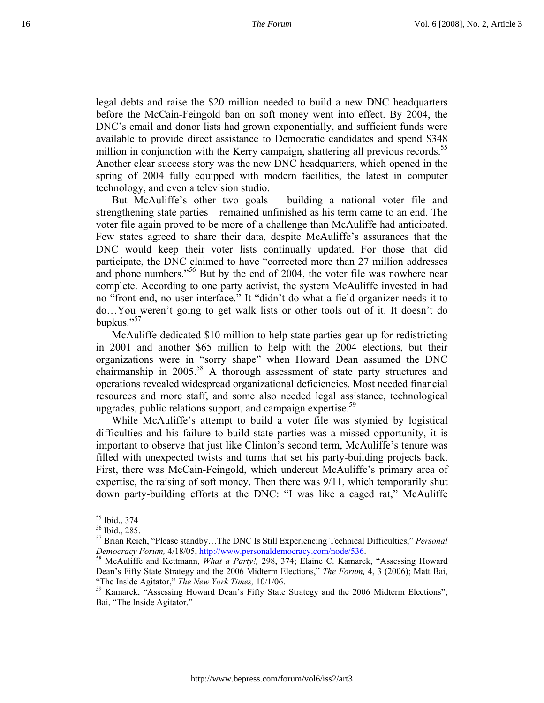legal debts and raise the \$20 million needed to build a new DNC headquarters before the McCain-Feingold ban on soft money went into effect. By 2004, the DNC's email and donor lists had grown exponentially, and sufficient funds were available to provide direct assistance to Democratic candidates and spend \$348 million in conjunction with the Kerry campaign, shattering all previous records.<sup>55</sup> Another clear success story was the new DNC headquarters, which opened in the spring of 2004 fully equipped with modern facilities, the latest in computer technology, and even a television studio.

But McAuliffe's other two goals – building a national voter file and strengthening state parties – remained unfinished as his term came to an end. The voter file again proved to be more of a challenge than McAuliffe had anticipated. Few states agreed to share their data, despite McAuliffe's assurances that the DNC would keep their voter lists continually updated. For those that did participate, the DNC claimed to have "corrected more than 27 million addresses and phone numbers."<sup>56</sup> But by the end of 2004, the voter file was nowhere near complete. According to one party activist, the system McAuliffe invested in had no "front end, no user interface." It "didn't do what a field organizer needs it to do…You weren't going to get walk lists or other tools out of it. It doesn't do bupkus."<sup>57</sup>

McAuliffe dedicated \$10 million to help state parties gear up for redistricting in 2001 and another \$65 million to help with the 2004 elections, but their organizations were in "sorry shape" when Howard Dean assumed the DNC chairmanship in 2005.<sup>58</sup> A thorough assessment of state party structures and operations revealed widespread organizational deficiencies. Most needed financial resources and more staff, and some also needed legal assistance, technological upgrades, public relations support, and campaign expertise.<sup>59</sup>

While McAuliffe's attempt to build a voter file was stymied by logistical difficulties and his failure to build state parties was a missed opportunity, it is important to observe that just like Clinton's second term, McAuliffe's tenure was filled with unexpected twists and turns that set his party-building projects back. First, there was McCain-Feingold, which undercut McAuliffe's primary area of expertise, the raising of soft money. Then there was 9/11, which temporarily shut down party-building efforts at the DNC: "I was like a caged rat," McAuliffe

<sup>55</sup> Ibid., 374

<sup>56</sup> Ibid., 285.

<sup>57</sup> Brian Reich, "Please standby…The DNC Is Still Experiencing Technical Difficulties," *Personal Democracy Forum, 4/18/05, http://www.personaldemocracy.com/node/536.* 58 McAuliffe and Kettmann, *What a Party!, 298, 374; Elaine C. Kamarck, "Assessing Howard*"

Dean's Fifty State Strategy and the 2006 Midterm Elections," *The Forum,* 4, 3 (2006); Matt Bai, "The Inside Agitator," *The New York Times,* 10/1/06.

<sup>&</sup>lt;sup>59</sup> Kamarck, "Assessing Howard Dean's Fifty State Strategy and the 2006 Midterm Elections"; Bai, "The Inside Agitator."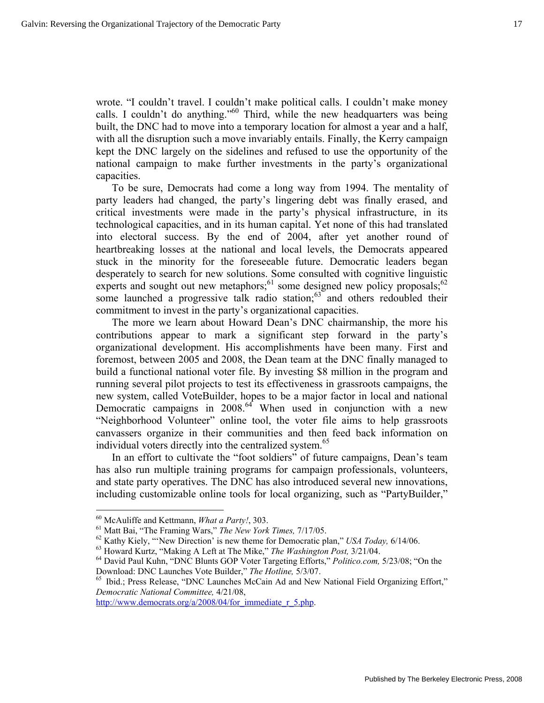wrote. "I couldn't travel. I couldn't make political calls. I couldn't make money calls. I couldn't do anything."<sup>60</sup> Third, while the new headquarters was being built, the DNC had to move into a temporary location for almost a year and a half, with all the disruption such a move invariably entails. Finally, the Kerry campaign kept the DNC largely on the sidelines and refused to use the opportunity of the national campaign to make further investments in the party's organizational capacities.

To be sure, Democrats had come a long way from 1994. The mentality of party leaders had changed, the party's lingering debt was finally erased, and critical investments were made in the party's physical infrastructure, in its technological capacities, and in its human capital. Yet none of this had translated into electoral success. By the end of 2004, after yet another round of heartbreaking losses at the national and local levels, the Democrats appeared stuck in the minority for the foreseeable future. Democratic leaders began desperately to search for new solutions. Some consulted with cognitive linguistic experts and sought out new metaphors; $61$  some designed new policy proposals; $62$ some launched a progressive talk radio station; $63$  and others redoubled their commitment to invest in the party's organizational capacities.

The more we learn about Howard Dean's DNC chairmanship, the more his contributions appear to mark a significant step forward in the party's organizational development. His accomplishments have been many. First and foremost, between 2005 and 2008, the Dean team at the DNC finally managed to build a functional national voter file. By investing \$8 million in the program and running several pilot projects to test its effectiveness in grassroots campaigns, the new system, called VoteBuilder, hopes to be a major factor in local and national Democratic campaigns in  $2008<sup>64</sup>$  When used in conjunction with a new "Neighborhood Volunteer" online tool, the voter file aims to help grassroots canvassers organize in their communities and then feed back information on individual voters directly into the centralized system.<sup>65</sup>

In an effort to cultivate the "foot soldiers" of future campaigns, Dean's team has also run multiple training programs for campaign professionals, volunteers, and state party operatives. The DNC has also introduced several new innovations, including customizable online tools for local organizing, such as "PartyBuilder,"

 $\overline{a}$ 

http://www.democrats.org/a/2008/04/for\_immediate\_r\_5.php.

<sup>&</sup>lt;sup>60</sup> McAuliffe and Kettmann, *What a Party!*, 303.<br><sup>61</sup> Matt Bai, "The Framing Wars," *The New York Times*, 7/17/05.<br><sup>62</sup> Kathy Kiely, "'New Direction' is new theme for Democratic plan," *USA Today*, 6/14/06.<br><sup>63</sup> Howard

<sup>&</sup>lt;sup>65</sup> Ibid.; Press Release, "DNC Launches McCain Ad and New National Field Organizing Effort," *Democratic National Committee,* 4/21/08,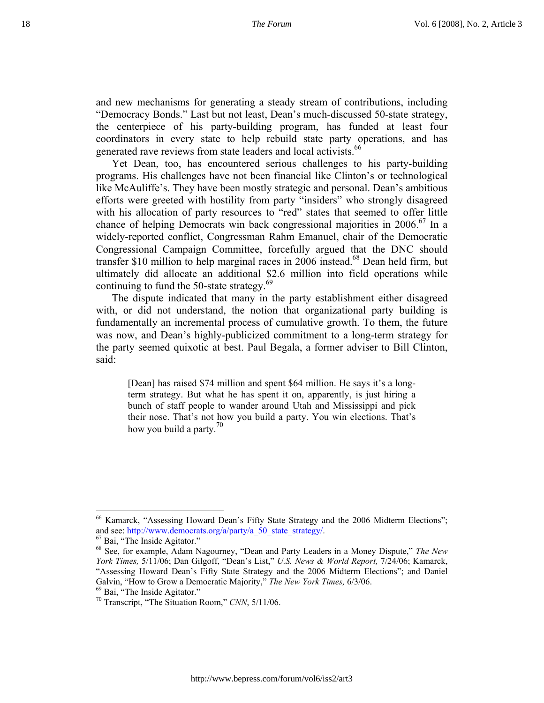and new mechanisms for generating a steady stream of contributions, including "Democracy Bonds." Last but not least, Dean's much-discussed 50-state strategy, the centerpiece of his party-building program, has funded at least four coordinators in every state to help rebuild state party operations, and has generated rave reviews from state leaders and local activists.<sup>66</sup>

Yet Dean, too, has encountered serious challenges to his party-building programs. His challenges have not been financial like Clinton's or technological like McAuliffe's. They have been mostly strategic and personal. Dean's ambitious efforts were greeted with hostility from party "insiders" who strongly disagreed with his allocation of party resources to "red" states that seemed to offer little chance of helping Democrats win back congressional majorities in 2006.<sup>67</sup> In a widely-reported conflict, Congressman Rahm Emanuel, chair of the Democratic Congressional Campaign Committee, forcefully argued that the DNC should transfer \$10 million to help marginal races in 2006 instead.<sup>68</sup> Dean held firm, but ultimately did allocate an additional \$2.6 million into field operations while continuing to fund the 50-state strategy. $69$ 

The dispute indicated that many in the party establishment either disagreed with, or did not understand, the notion that organizational party building is fundamentally an incremental process of cumulative growth. To them, the future was now, and Dean's highly-publicized commitment to a long-term strategy for the party seemed quixotic at best. Paul Begala, a former adviser to Bill Clinton, said:

[Dean] has raised \$74 million and spent \$64 million. He says it's a longterm strategy. But what he has spent it on, apparently, is just hiring a bunch of staff people to wander around Utah and Mississippi and pick their nose. That's not how you build a party. You win elections. That's how you build a party.<sup>70</sup>

 $\overline{a}$ 66 Kamarck, "Assessing Howard Dean's Fifty State Strategy and the 2006 Midterm Elections"; and see: <u>http://www.democrats.org/a/party/a\_50\_state\_strategy/</u>. <sup>67</sup> Bai, "The Inside Agitator."

<sup>68</sup> See, for example, Adam Nagourney, "Dean and Party Leaders in a Money Dispute," *The New York Times,* 5/11/06; Dan Gilgoff, "Dean's List," *U.S. News & World Report,* 7/24/06; Kamarck, "Assessing Howard Dean's Fifty State Strategy and the 2006 Midterm Elections"; and Daniel Galvin, "How to Grow a Democratic Majority," *The New York Times, 6/3/06*. <sup>69</sup> Bai, "The Inside Agitator."

<sup>70</sup> Transcript, "The Situation Room," *CNN*, 5/11/06.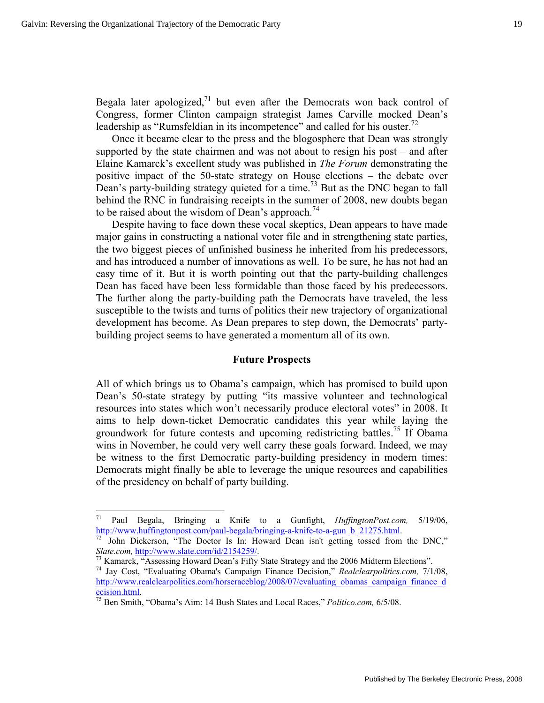Begala later apologized, $71$  but even after the Democrats won back control of Congress, former Clinton campaign strategist James Carville mocked Dean's leadership as "Rumsfeldian in its incompetence" and called for his ouster.<sup>72</sup>

Once it became clear to the press and the blogosphere that Dean was strongly supported by the state chairmen and was not about to resign his post – and after Elaine Kamarck's excellent study was published in *The Forum* demonstrating the positive impact of the 50-state strategy on House elections – the debate over Dean's party-building strategy quieted for a time.<sup>73</sup> But as the DNC began to fall behind the RNC in fundraising receipts in the summer of 2008, new doubts began to be raised about the wisdom of Dean's approach.<sup>74</sup>

Despite having to face down these vocal skeptics, Dean appears to have made major gains in constructing a national voter file and in strengthening state parties, the two biggest pieces of unfinished business he inherited from his predecessors, and has introduced a number of innovations as well. To be sure, he has not had an easy time of it. But it is worth pointing out that the party-building challenges Dean has faced have been less formidable than those faced by his predecessors. The further along the party-building path the Democrats have traveled, the less susceptible to the twists and turns of politics their new trajectory of organizational development has become. As Dean prepares to step down, the Democrats' partybuilding project seems to have generated a momentum all of its own.

#### **Future Prospects**

All of which brings us to Obama's campaign, which has promised to build upon Dean's 50-state strategy by putting "its massive volunteer and technological resources into states which won't necessarily produce electoral votes" in 2008. It aims to help down-ticket Democratic candidates this year while laying the groundwork for future contests and upcoming redistricting battles.<sup>75</sup> If Obama wins in November, he could very well carry these goals forward. Indeed, we may be witness to the first Democratic party-building presidency in modern times: Democrats might finally be able to leverage the unique resources and capabilities of the presidency on behalf of party building.

 $71\,$ 71 Paul Begala, Bringing a Knife to a Gunfight, *HuffingtonPost.com,* 5/19/06, http://www.huffingtonpost.com/paul-begala/bringing-a-knife-to-a-gun\_b\_21275.html.<br><sup>72</sup> John Dickerson, "The Doctor Is In: Howard Dean isn't getting tossed from the DNC,"

Slate.com, http://www.slate.com/id/2154259/.<br><sup>73</sup> Kamarck, "Assessing Howard Dean's Fifty State Strategy and the 2006 Midterm Elections".<br><sup>74</sup> Jay Cost, "Evaluating Obama's Campaign Finance Decision," *Realclearpolitics.co* 

http://www.realclearpolitics.com/horseraceblog/2008/07/evaluating\_obamas\_campaign\_finance\_d

ecision.html.<br><sup>75</sup> Ben Smith, "Obama's Aim: 14 Bush States and Local Races," *Politico.com, 6/5/08*.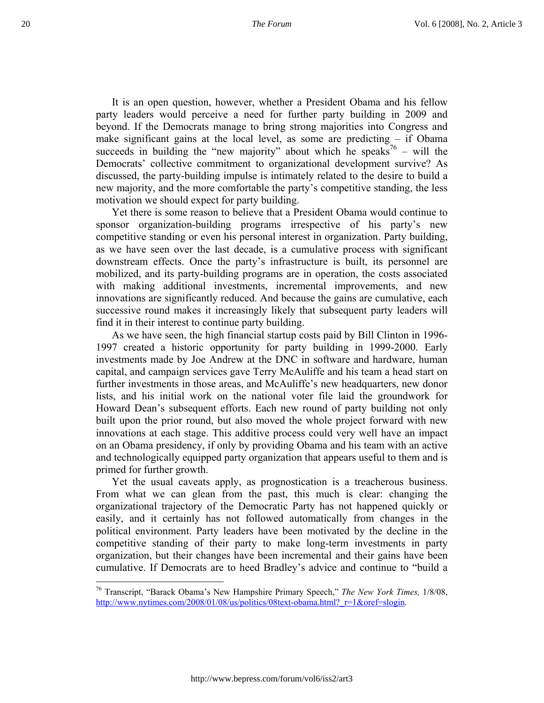It is an open question, however, whether a President Obama and his fellow party leaders would perceive a need for further party building in 2009 and beyond. If the Democrats manage to bring strong majorities into Congress and make significant gains at the local level, as some are predicting – if Obama succeeds in building the "new majority" about which he speaks<sup>76</sup> – will the Democrats' collective commitment to organizational development survive? As discussed, the party-building impulse is intimately related to the desire to build a new majority, and the more comfortable the party's competitive standing, the less motivation we should expect for party building.

Yet there is some reason to believe that a President Obama would continue to sponsor organization-building programs irrespective of his party's new competitive standing or even his personal interest in organization. Party building, as we have seen over the last decade, is a cumulative process with significant downstream effects. Once the party's infrastructure is built, its personnel are mobilized, and its party-building programs are in operation, the costs associated with making additional investments, incremental improvements, and new innovations are significantly reduced. And because the gains are cumulative, each successive round makes it increasingly likely that subsequent party leaders will find it in their interest to continue party building.

As we have seen, the high financial startup costs paid by Bill Clinton in 1996- 1997 created a historic opportunity for party building in 1999-2000. Early investments made by Joe Andrew at the DNC in software and hardware, human capital, and campaign services gave Terry McAuliffe and his team a head start on further investments in those areas, and McAuliffe's new headquarters, new donor lists, and his initial work on the national voter file laid the groundwork for Howard Dean's subsequent efforts. Each new round of party building not only built upon the prior round, but also moved the whole project forward with new innovations at each stage. This additive process could very well have an impact on an Obama presidency, if only by providing Obama and his team with an active and technologically equipped party organization that appears useful to them and is primed for further growth.

Yet the usual caveats apply, as prognostication is a treacherous business. From what we can glean from the past, this much is clear: changing the organizational trajectory of the Democratic Party has not happened quickly or easily, and it certainly has not followed automatically from changes in the political environment. Party leaders have been motivated by the decline in the competitive standing of their party to make long-term investments in party organization, but their changes have been incremental and their gains have been cumulative. If Democrats are to heed Bradley's advice and continue to "build a

1

<sup>76</sup> Transcript, "Barack Obama's New Hampshire Primary Speech," *The New York Times,* 1/8/08, http://www.nytimes.com/2008/01/08/us/politics/08text-obama.html?\_r=1&oref=slogin.